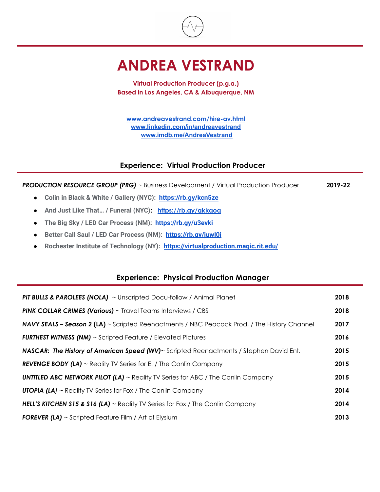

## **ANDREA VESTRAND**

**Virtual Production Producer (p.g.a.) Based in Los Angeles, CA & Albuquerque, NM**

**[www.andreavestrand.com/hire-av.html](http://www.andreavestrand.com/hire-av.html) [www.linkedin.com/in/andreavestrand](http://www.linkedin.com/in/andreavestrand) [www.imdb.me/AndreaVestrand](http://www.imdb.me/AndreaVestrand)**

### **Experience: Virtual Production Producer**

**PRODUCTION RESOURCE GROUP (PRG)** ~ Business Development / Virtual Production Producer 2019-22

- **● Colin in Black & White / Gallery (NYC): <https://rb.gy/kcn5ze>**
- **● And Just Like That… / Funeral (NYC): <https://rb.gy/qkkqoq>**
- **● The Big Sky / LED Car Process (NM): <https://rb.gy/u3evki>**
- **● Better Call Saul / LED Car Process (NM): <https://rb.gy/juwl0j>**
- **● Rochester Institute of Technology (NY): <https://virtualproduction.magic.rit.edu/>**

#### **Experience: Physical Production Manager**

| <b>PIT BULLS &amp; PAROLEES (NOLA)</b> $\sim$ Unscripted Docu-follow / Animal Planet                | 2018 |
|-----------------------------------------------------------------------------------------------------|------|
| <b>PINK COLLAR CRIMES (Various)</b> $\sim$ Travel Teams Interviews / CBS                            | 2018 |
| <b>NAVY SEALS - Season 2 (LA)</b> ~ Scripted Reenactments / NBC Peacock Prod, / The History Channel | 2017 |
| <b>FURTHEST WITNESS (NM)</b> $\sim$ Scripted Feature / Elevated Pictures                            | 2016 |
| NASCAR: The History of American Speed (WV)~ Scripted Reenactments / Stephen David Ent.              | 2015 |
| <b>REVENGE BODY (LA)</b> ~ Reality TV Series for E! / The Conlin Company                            | 2015 |
| <b>UNTITLED ABC NETWORK PILOT (LA)</b> $\sim$ Reality TV Series for ABC / The Conlin Company        | 2015 |
| <b>UTOPIA (LA)</b> $\sim$ Reality TV Series for Fox / The Conlin Company                            | 2014 |
| <b>HELL'S KITCHEN S15 &amp; S16 (LA)</b> $\sim$ Reality TV Series for Fox / The Conlin Company      | 2014 |
| <b>FOREVER (LA)</b> $\sim$ Scripted Feature Film / Art of Elysium                                   | 2013 |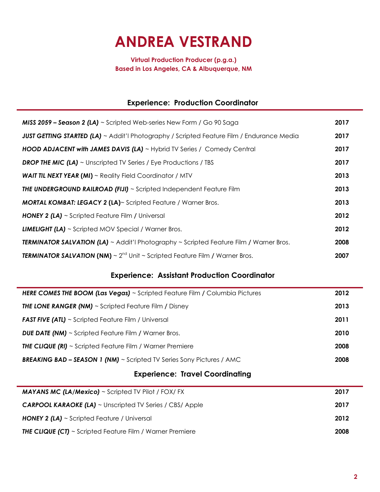# **ANDREA VESTRAND**

**Virtual Production Producer (p.g.a.) Based in Los Angeles, CA & Albuquerque, NM**

## **Experience: Production Coordinator**

| <b>MISS 2059 - Season 2 (LA)</b> $\sim$ Scripted Web-series New Form / Go 90 Saga                       | 2017 |
|---------------------------------------------------------------------------------------------------------|------|
| <b>JUST GETTING STARTED (LA)</b> ~ Addit'l Photography / Scripted Feature Film / Endurance Media        | 2017 |
| <b>HOOD ADJACENT with JAMES DAVIS (LA)</b> ~ Hybrid TV Series / Comedy Central                          | 2017 |
| <b>DROP THE MIC (LA)</b> $\sim$ Unscripted TV Series / Eye Productions / TBS                            | 2017 |
| <b>WAIT TIL NEXT YEAR (MI)</b> $\sim$ Reality Field Coordinator / MTV                                   | 2013 |
| <b>THE UNDERGROUND RAILROAD (FIJI)</b> ~ Scripted Independent Feature Film                              | 2013 |
| <b>MORTAL KOMBAT: LEGACY 2 (LA)</b> ~ Scripted Feature / Warner Bros.                                   | 2013 |
| <b>HONEY 2 (LA)</b> ~ Scripted Feature Film / Universal                                                 | 2012 |
| <b>LIMELIGHT (LA)</b> $\sim$ Scripted MOV Special / Warner Bros.                                        | 2012 |
| <b>TERMINATOR SALVATION (LA)</b> $\sim$ Addit'l Photography $\sim$ Scripted Feature Film / Warner Bros. | 2008 |
| <b>TERMINATOR SALVATION (NM)</b> $\sim 2^{nd}$ Unit $\sim$ Scripted Feature Film / Warner Bros.         | 2007 |

## **Experience: Assistant Production Coordinator**

| <b>HERE COMES THE BOOM (Las Vegas)</b> ~ Scripted Feature Film / Columbia Pictures | 2012 |
|------------------------------------------------------------------------------------|------|
| <b>THE LONE RANGER (NM)</b> $\sim$ Scripted Feature Film / Disney                  | 2013 |
| <b>FAST FIVE (ATL)</b> ~ Scripted Feature Film / Universal                         | 2011 |
| <b>DUE DATE (NM)</b> $\sim$ Scripted Feature Film / Warner Bros.                   | 2010 |
| <b>THE CLIQUE (RI)</b> ~ Scripted Feature Film / Warner Premiere                   | 2008 |
| <b>BREAKING BAD – SEASON 1 (NM)</b> $\sim$ Scripted TV Series Sony Pictures / AMC  | 2008 |

## **Experience: Travel Coordinating**

| <b>MAYANS MC (LA/Mexico)</b> $\sim$ Scripted TV Pilot / FOX/ FX       | 2017 |
|-----------------------------------------------------------------------|------|
| <b>CARPOOL KARAOKE (LA)</b> ~ Unscripted TV Series / CBS/ Apple       | 2017 |
| <b>HONEY 2 (LA)</b> $\sim$ Scripted Feature / Universal               | 2012 |
| <b>THE CLIQUE (CT)</b> $\sim$ Scripted Feature Film / Warner Premiere | 2008 |